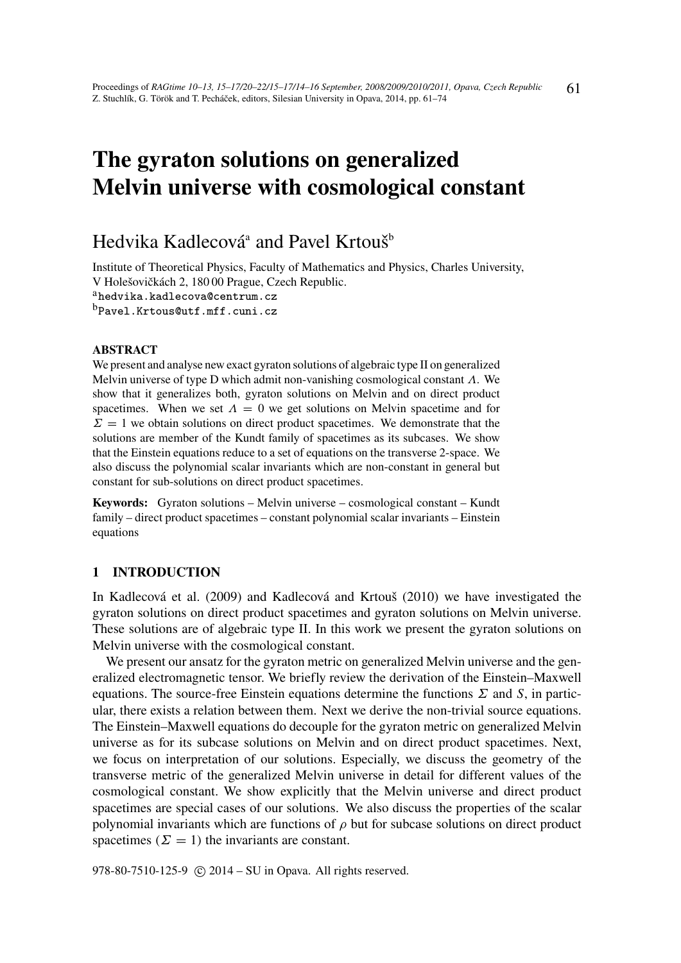# The gyraton solutions on generalized Melvin universe with cosmological constant

# Hedvika Kadlecová<sup>a</sup> and Pavel Krtouš<sup>b</sup>

Institute of Theoretical Physics, Faculty of Mathematics and Physics, Charles University, V Holešovičkách 2, 180 00 Prague, Czech Republic.

<sup>a</sup>hedvika.kadlecova@centrum.cz

<sup>b</sup>Pavel.Krtous@utf.mff.cuni.cz

#### ABSTRACT

We present and analyse new exact gyraton solutions of algebraic type II on generalized Melvin universe of type D which admit non-vanishing cosmological constant  $\Lambda$ . We show that it generalizes both, gyraton solutions on Melvin and on direct product spacetimes. When we set  $\Lambda = 0$  we get solutions on Melvin spacetime and for  $\Sigma = 1$  we obtain solutions on direct product spacetimes. We demonstrate that the solutions are member of the Kundt family of spacetimes as its subcases. We show that the Einstein equations reduce to a set of equations on the transverse 2-space. We also discuss the polynomial scalar invariants which are non-constant in general but constant for sub-solutions on direct product spacetimes.

Keywords: Gyraton solutions – Melvin universe – cosmological constant – Kundt family – direct product spacetimes – constant polynomial scalar invariants – Einstein equations

# 1 INTRODUCTION

In Kadlecová et al. (2009) and Kadlecová and Krtouš (2010) we have investigated the gyraton solutions on direct product spacetimes and gyraton solutions on Melvin universe. These solutions are of algebraic type II. In this work we present the gyraton solutions on Melvin universe with the cosmological constant.

We present our ansatz for the gyraton metric on generalized Melvin universe and the generalized electromagnetic tensor. We briefly review the derivation of the Einstein–Maxwell equations. The source-free Einstein equations determine the functions  $\Sigma$  and  $S$ , in particular, there exists a relation between them. Next we derive the non-trivial source equations. The Einstein–Maxwell equations do decouple for the gyraton metric on generalized Melvin universe as for its subcase solutions on Melvin and on direct product spacetimes. Next, we focus on interpretation of our solutions. Especially, we discuss the geometry of the transverse metric of the generalized Melvin universe in detail for different values of the cosmological constant. We show explicitly that the Melvin universe and direct product spacetimes are special cases of our solutions. We also discuss the properties of the scalar polynomial invariants which are functions of  $\rho$  but for subcase solutions on direct product spacetimes ( $\Sigma = 1$ ) the invariants are constant.

978-80-7510-125-9 © 2014 – SU in Opava. All rights reserved.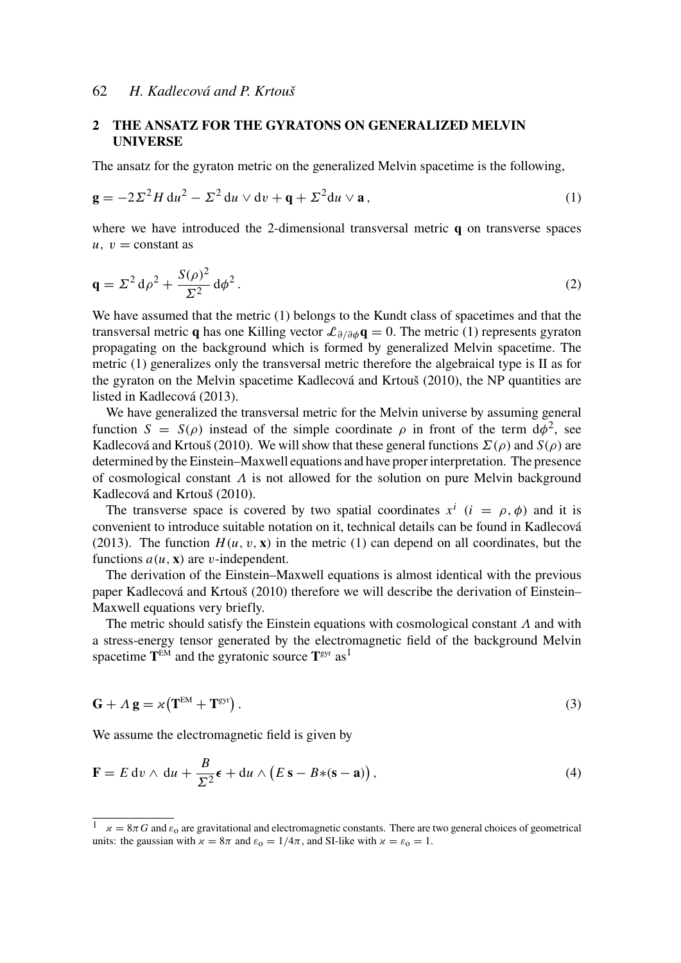### 2 THE ANSATZ FOR THE GYRATONS ON GENERALIZED MELVIN UNIVERSE

The ansatz for the gyraton metric on the generalized Melvin spacetime is the following,

$$
\mathbf{g} = -2\Sigma^2 H \, \mathrm{d}u^2 - \Sigma^2 \, \mathrm{d}u \vee \mathrm{d}v + \mathbf{q} + \Sigma^2 \mathrm{d}u \vee \mathbf{a} \,,\tag{1}
$$

where we have introduced the 2-dimensional transversal metric **q** on transverse spaces  $u, v =$ constant as

$$
\mathbf{q} = \Sigma^2 \, \mathrm{d}\rho^2 + \frac{S(\rho)^2}{\Sigma^2} \, \mathrm{d}\phi^2 \,. \tag{2}
$$

We have assumed that the metric (1) belongs to the Kundt class of spacetimes and that the transversal metric q has one Killing vector  $\mathcal{L}_{\partial/\partial \phi} q = 0$ . The metric (1) represents gyraton propagating on the background which is formed by generalized Melvin spacetime. The metric (1) generalizes only the transversal metric therefore the algebraical type is II as for the gyraton on the Melvin spacetime Kadlecová and Krtouš (2010), the NP quantities are listed in Kadlecová (2013).

We have generalized the transversal metric for the Melvin universe by assuming general function  $S = S(\rho)$  instead of the simple coordinate  $\rho$  in front of the term  $d\phi^2$ , see Kadlecová and Krtouš (2010). We will show that these general functions  $\Sigma(\rho)$  and  $S(\rho)$  are determined by the Einstein–Maxwell equations and have proper interpretation. The presence of cosmological constant  $\Lambda$  is not allowed for the solution on pure Melvin background Kadlecová and Krtouš (2010).

The transverse space is covered by two spatial coordinates  $x^i$  ( $i = \rho, \phi$ ) and it is convenient to introduce suitable notation on it, technical details can be found in Kadlecová (2013). The function  $H(u, v, x)$  in the metric (1) can depend on all coordinates, but the functions  $a(u, x)$  are *v*-independent.

The derivation of the Einstein–Maxwell equations is almost identical with the previous paper Kadlecová and Krtouš (2010) therefore we will describe the derivation of Einstein– Maxwell equations very briefly.

The metric should satisfy the Einstein equations with cosmological constant  $\Lambda$  and with a stress-energy tensor generated by the electromagnetic field of the background Melvin spacetime  $T^{EM}$  and the gyratonic source  $T^{gyr}$  as<sup>1</sup>

$$
\mathbf{G} + \Lambda \mathbf{g} = \varkappa \left( \mathbf{T}^{\text{EM}} + \mathbf{T}^{\text{gyr}} \right). \tag{3}
$$

We assume the electromagnetic field is given by

$$
\mathbf{F} = E \, \mathrm{d}v \wedge \mathrm{d}u + \frac{B}{\Sigma^2} \boldsymbol{\epsilon} + \mathrm{d}u \wedge (E \, \mathbf{s} - B * (\mathbf{s} - \mathbf{a})), \tag{4}
$$

 $\alpha = 8\pi G$  and  $\varepsilon_0$  are gravitational and electromagnetic constants. There are two general choices of geometrical units: the gaussian with  $x = 8\pi$  and  $\varepsilon_0 = 1/4\pi$ , and SI-like with  $x = \varepsilon_0 = 1$ .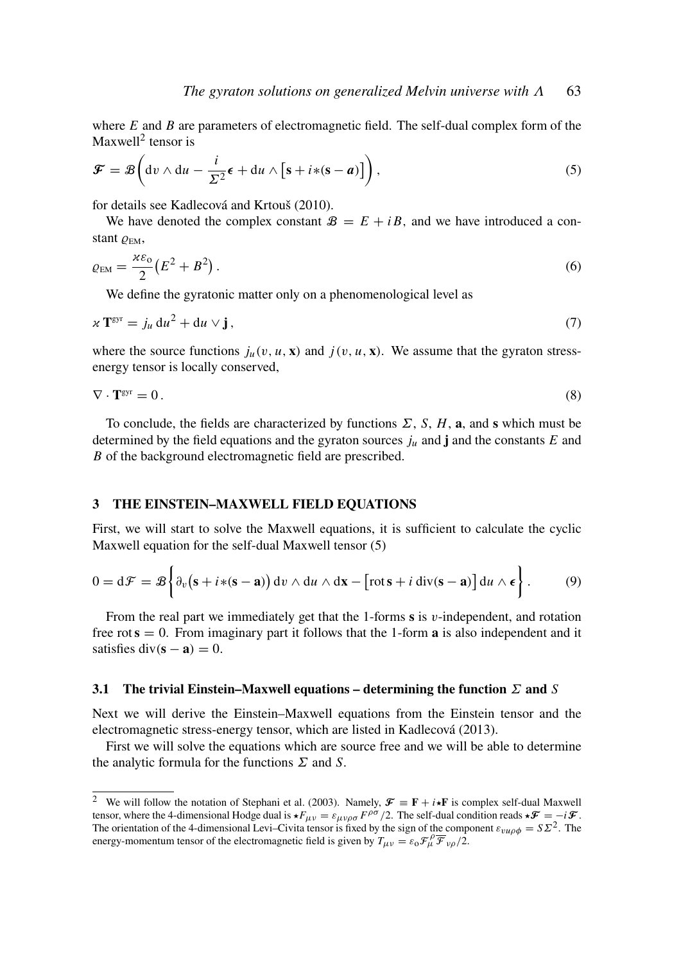where *E* and *B* are parameters of electromagnetic field. The self-dual complex form of the Maxwell<sup>2</sup> tensor is

$$
\mathcal{F} = \mathcal{B}\left(\mathrm{d}v \wedge \mathrm{d}u - \frac{i}{\Sigma^2}\epsilon + \mathrm{d}u \wedge \left[s + i*(s - a)\right]\right),\tag{5}
$$

for details see Kadlecová and Krtouš (2010).

We have denoted the complex constant  $B = E + iB$ , and we have introduced a constant  $\varrho_{EM}$ ,

$$
\varrho_{EM} = \frac{\varkappa \varepsilon_0}{2} \left( E^2 + B^2 \right). \tag{6}
$$

We define the gyratonic matter only on a phenomenological level as

$$
\chi \mathbf{T}^{\text{gyr}} = j_u \, \mathrm{d}u^2 + \mathrm{d}u \vee \mathbf{j} \,, \tag{7}
$$

where the source functions  $j_u(v, u, x)$  and  $j(v, u, x)$ . We assume that the gyraton stressenergy tensor is locally conserved,

$$
\nabla \cdot \mathbf{T}^{\text{gyr}} = 0. \tag{8}
$$

To conclude, the fields are characterized by functions  $\Sigma$ , *S*, *H*, **a**, and **s** which must be determined by the field equations and the gyraton sources  $j<sub>u</sub>$  and **j** and the constants  $E$  and *B* of the background electromagnetic field are prescribed.

#### 3 THE EINSTEIN–MAXWELL FIELD EQUATIONS

First, we will start to solve the Maxwell equations, it is sufficient to calculate the cyclic Maxwell equation for the self-dual Maxwell tensor (5)

$$
0 = d\mathcal{F} = \mathcal{B}\left\{\partial_v\big(s + i*(s-a)\big) \, dv \wedge du \wedge dx - \big[\text{rot}\,s + i\, \text{div}(s-a)\big] \, du \wedge \epsilon\right\}.
$$
 (9)

From the real part we immediately get that the 1-forms  $\bf{s}$  is  $v$ -independent, and rotation free rot  $s = 0$ . From imaginary part it follows that the 1-form **a** is also independent and it satisfies div( $\mathbf{s} - \mathbf{a}$ ) = 0.

#### 3.1 The trivial Einstein–Maxwell equations – determining the function  $\Sigma$  and  $S$

Next we will derive the Einstein–Maxwell equations from the Einstein tensor and the electromagnetic stress-energy tensor, which are listed in Kadlecová (2013).

First we will solve the equations which are source free and we will be able to determine the analytic formula for the functions  $\Sigma$  and  $S$ .

<sup>&</sup>lt;sup>2</sup> We will follow the notation of Stephani et al. (2003). Namely,  $\mathcal{F} \equiv \mathbf{F} + i \star \mathbf{F}$  is complex self-dual Maxwell tensor, where the 4-dimensional Hodge dual is  $\star F_{\mu\nu} = \varepsilon_{\mu\nu\rho\sigma} F^{\rho\sigma}/2$ . The self-dual condition reads  $\star \mathcal{F} = -i \mathcal{F}$ . The orientation of the 4-dimensional Levi–Civita tensor is fixed by the sign of the component  $\varepsilon_{vu\rho\phi} = S\Sigma^2$ . The energy-momentum tensor of the electromagnetic field is given by  $T_{\mu\nu} = \varepsilon_0 \mathcal{F}_{\mu}^{\rho} \overline{\mathcal{F}}_{\nu\rho}/2$ .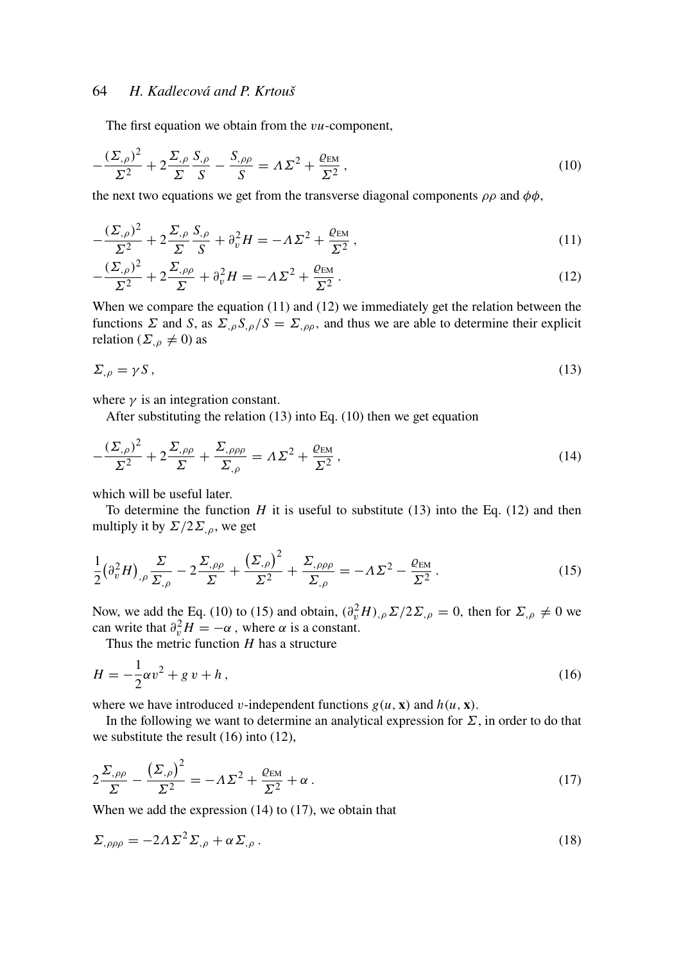The first equation we obtain from the v*u*-component,

$$
-\frac{(\Sigma_{,\rho})^2}{\Sigma^2} + 2\frac{\Sigma_{,\rho}}{\Sigma}\frac{S_{,\rho}}{S} - \frac{S_{,\rho\rho}}{S} = \Lambda\Sigma^2 + \frac{\varrho_{\text{EM}}}{\Sigma^2},\tag{10}
$$

the next two equations we get from the transverse diagonal components  $\rho \rho$  and  $\phi \phi$ ,

$$
-\frac{(\Sigma_{,\rho})^2}{\Sigma^2} + 2\frac{\Sigma_{,\rho}}{\Sigma}\frac{S_{,\rho}}{S} + \partial_v^2 H = -\Lambda\Sigma^2 + \frac{\varrho_{EM}}{\Sigma^2},\tag{11}
$$

$$
-\frac{(\Sigma_{,\rho})^2}{\Sigma^2} + 2\frac{\Sigma_{,\rho\rho}}{\Sigma} + \partial_v^2 H = -\Lambda \Sigma^2 + \frac{\varrho_{\text{EM}}}{\Sigma^2}.
$$
 (12)

When we compare the equation (11) and (12) we immediately get the relation between the functions  $\Sigma$  and  $S$ , as  $\Sigma_{,\rho} S_{,\rho}/S = \Sigma_{,\rho\rho}$ , and thus we are able to determine their explicit relation ( $\Sigma_{,\rho} \neq 0$ ) as

$$
\Sigma_{,\rho} = \gamma S \,,\tag{13}
$$

where  $\gamma$  is an integration constant.

After substituting the relation (13) into Eq. (10) then we get equation

$$
-\frac{(\Sigma_{,\rho})^2}{\Sigma^2} + 2\frac{\Sigma_{,\rho\rho}}{\Sigma} + \frac{\Sigma_{,\rho\rho\rho}}{\Sigma_{,\rho}} = \Lambda\Sigma^2 + \frac{\varrho_{\text{EM}}}{\Sigma^2},\tag{14}
$$

which will be useful later.

To determine the function  $H$  it is useful to substitute (13) into the Eq. (12) and then multiply it by  $\Sigma/2\Sigma_{,\rho}$ , we get

$$
\frac{1}{2} \left( \partial_v^2 H \right)_{,\rho} \frac{\Sigma}{\Sigma_{,\rho}} - 2 \frac{\Sigma_{,\rho\rho}}{\Sigma} + \frac{\left( \Sigma_{,\rho} \right)^2}{\Sigma^2} + \frac{\Sigma_{,\rho\rho\rho}}{\Sigma_{,\rho}} = -\Lambda \Sigma^2 - \frac{\varrho_{\text{EM}}}{\Sigma^2} \,. \tag{15}
$$

Now, we add the Eq. (10) to (15) and obtain,  $(\partial_v^2 H)_{,\rho} \Sigma / 2\Sigma_{,\rho} = 0$ , then for  $\Sigma_{,\rho} \neq 0$  we can write that  $\partial_v^2 H = -\alpha$ , where  $\alpha$  is a constant.

Thus the metric function *H* has a structure

$$
H = -\frac{1}{2}\alpha v^2 + g v + h\,,\tag{16}
$$

where we have introduced v-independent functions  $g(u, x)$  and  $h(u, x)$ .

In the following we want to determine an analytical expression for  $\Sigma$ , in order to do that we substitute the result (16) into (12),

$$
2\frac{\Sigma_{,\rho\rho}}{\Sigma} - \frac{\left(\Sigma_{,\rho}\right)^2}{\Sigma^2} = -\Lambda\Sigma^2 + \frac{\varrho_{\text{EM}}}{\Sigma^2} + \alpha\,. \tag{17}
$$

When we add the expression (14) to (17), we obtain that

$$
\Sigma_{,\rho\rho\rho} = -2\Lambda \Sigma^2 \Sigma_{,\rho} + \alpha \Sigma_{,\rho} \,. \tag{18}
$$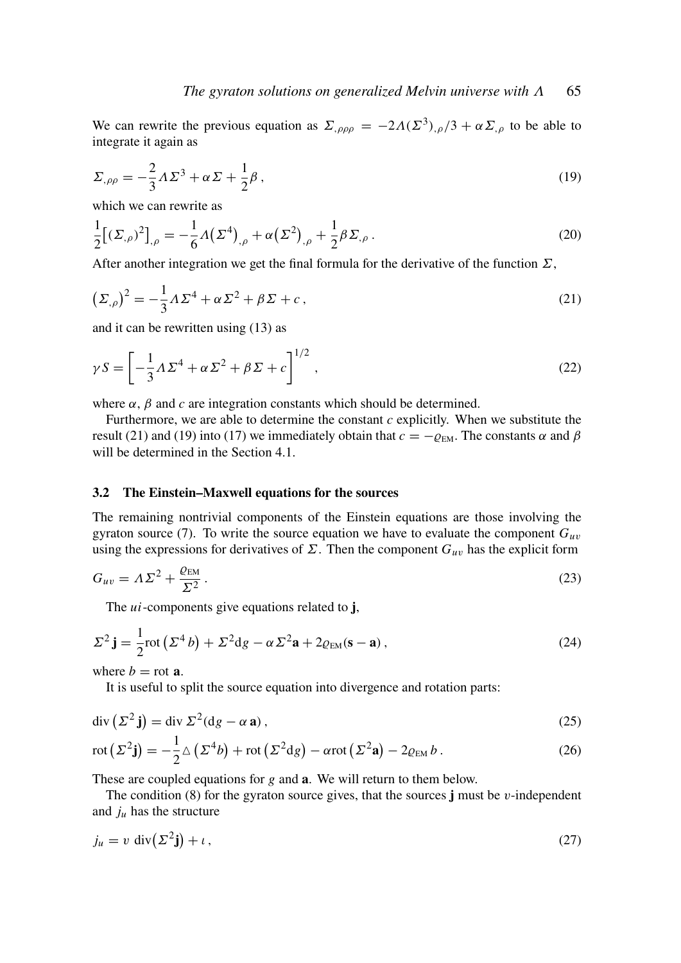We can rewrite the previous equation as  $\Sigma_{,\rho\rho\rho} = -2\Lambda(\Sigma^3)_{,\rho}/3 + \alpha \Sigma_{,\rho}$  to be able to integrate it again as

$$
\Sigma_{,\rho\rho} = -\frac{2}{3}\Lambda\Sigma^3 + \alpha\Sigma + \frac{1}{2}\beta\,,\tag{19}
$$

which we can rewrite as

$$
\frac{1}{2}[(\Sigma_{,\rho})^2]_{,\rho} = -\frac{1}{6}A(\Sigma^4)_{,\rho} + \alpha(\Sigma^2)_{,\rho} + \frac{1}{2}\beta\Sigma_{,\rho}.
$$
\n(20)

After another integration we get the final formula for the derivative of the function  $\Sigma$ ,

$$
\left(\Sigma_{,\rho}\right)^2 = -\frac{1}{3}\Lambda\Sigma^4 + \alpha\Sigma^2 + \beta\Sigma + c\,,\tag{21}
$$

and it can be rewritten using (13) as

$$
\gamma S = \left[ -\frac{1}{3} \Lambda \Sigma^4 + \alpha \Sigma^2 + \beta \Sigma + c \right]^{1/2},\tag{22}
$$

where  $\alpha$ ,  $\beta$  and  $c$  are integration constants which should be determined.

Furthermore, we are able to determine the constant  $c$  explicitly. When we substitute the result (21) and (19) into (17) we immediately obtain that  $c = -\varrho_{EM}$ . The constants  $\alpha$  and  $\beta$ will be determined in the Section 4.1.

#### 3.2 The Einstein–Maxwell equations for the sources

The remaining nontrivial components of the Einstein equations are those involving the gyraton source (7). To write the source equation we have to evaluate the component  $G_{uv}$ using the expressions for derivatives of  $\Sigma$ . Then the component  $G_{uv}$  has the explicit form

$$
G_{uv} = \Lambda \Sigma^2 + \frac{\varrho_{EM}}{\Sigma^2}.
$$
\n(23)

The *ui*-components give equations related to **j**,

$$
\Sigma^2 \mathbf{j} = \frac{1}{2} \text{rot} \left( \Sigma^4 b \right) + \Sigma^2 \text{d} g - \alpha \Sigma^2 \mathbf{a} + 2 \varrho_{\text{EM}} (\mathbf{s} - \mathbf{a}), \tag{24}
$$

where  $b = \text{rot } a$ .

It is useful to split the source equation into divergence and rotation parts:

$$
\operatorname{div}\left(\Sigma^{2}\mathbf{j}\right) = \operatorname{div}\Sigma^{2}(\operatorname{d}g - \alpha\,\mathbf{a})\,,\tag{25}
$$

$$
\operatorname{rot}\left(\Sigma^{2}\mathbf{j}\right)=-\frac{1}{2}\Delta\left(\Sigma^{4}b\right)+\operatorname{rot}\left(\Sigma^{2}\mathrm{d}g\right)-\alpha\operatorname{rot}\left(\Sigma^{2}\mathbf{a}\right)-2\varrho_{\text{EM}}b\,. \tag{26}
$$

These are coupled equations for *g* and a. We will return to them below.

The condition  $(8)$  for the gyraton source gives, that the sources j must be *v*-independent and  $j<sub>u</sub>$  has the structure

$$
j_u = v \operatorname{div}(\Sigma^2 \mathbf{j}) + \iota \,, \tag{27}
$$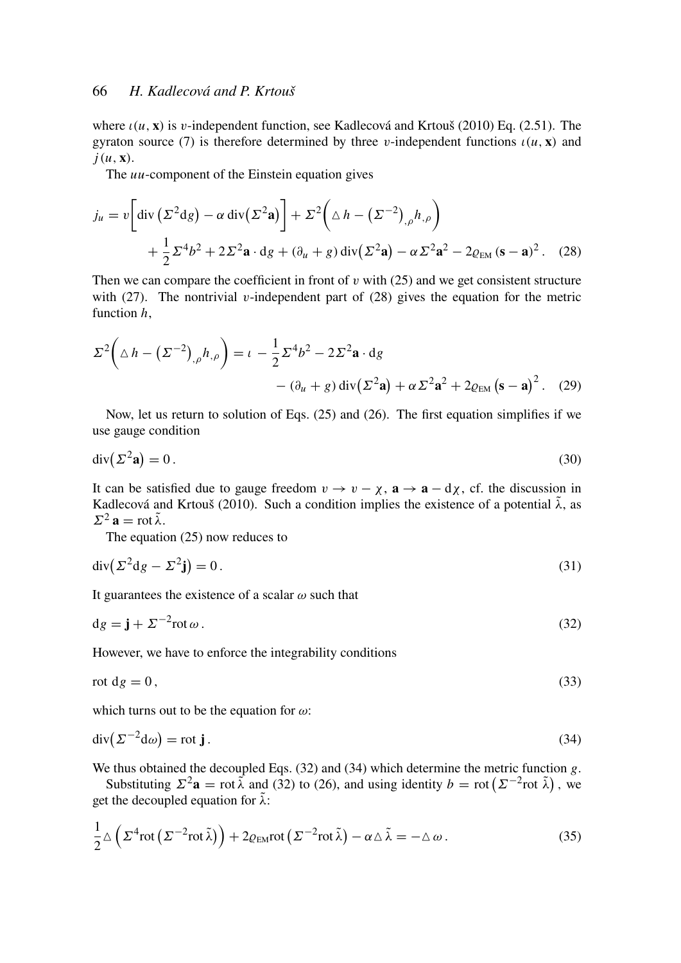where ι(*u*, x) is v-independent function, see Kadlecová and Krtouš (2010) Eq. (2.51). The gyraton source (7) is therefore determined by three v-independent functions  $\iota(u, x)$  and  $j(u, \mathbf{x})$ .

The *uu*-component of the Einstein equation gives

$$
j_u = v \left[ \text{div} \left( \Sigma^2 \text{d} g \right) - \alpha \, \text{div} \left( \Sigma^2 \mathbf{a} \right) \right] + \Sigma^2 \left( \Delta h - \left( \Sigma^{-2} \right)_{,\rho} h_{,\rho} \right)
$$
  
+ 
$$
\frac{1}{2} \Sigma^4 b^2 + 2 \Sigma^2 \mathbf{a} \cdot \text{d} g + (\partial_u + g) \, \text{div} \left( \Sigma^2 \mathbf{a} \right) - \alpha \Sigma^2 \mathbf{a}^2 - 2 \varrho_{EM} \left( \mathbf{s} - \mathbf{a} \right)^2. \tag{28}
$$

Then we can compare the coefficient in front of  $v$  with (25) and we get consistent structure with (27). The nontrivial v-independent part of (28) gives the equation for the metric function *h*,

$$
\Sigma^2 \left( \Delta h - \left( \Sigma^{-2} \right)_{,\rho} h_{,\rho} \right) = \iota - \frac{1}{2} \Sigma^4 b^2 - 2 \Sigma^2 \mathbf{a} \cdot \mathbf{d} g
$$

$$
- (\partial_u + g) \operatorname{div} (\Sigma^2 \mathbf{a}) + \alpha \Sigma^2 \mathbf{a}^2 + 2 \varrho_{EM} (\mathbf{s} - \mathbf{a})^2. \quad (29)
$$

Now, let us return to solution of Eqs. (25) and (26). The first equation simplifies if we use gauge condition

$$
\operatorname{div}(\Sigma^2 \mathbf{a}) = 0. \tag{30}
$$

It can be satisfied due to gauge freedom  $v \to v - \chi$ ,  $\mathbf{a} \to \mathbf{a} - d\chi$ , cf. the discussion in Kadlecová and Krtouš (2010). Such a condition implies the existence of a potential  $\tilde{\lambda}$ , as  $\Sigma^2$  a = rot  $\tilde{\lambda}$ .

The equation (25) now reduces to

 $\overline{a}$ 

$$
\operatorname{div}(\Sigma^2 \mathrm{d}g - \Sigma^2 \mathbf{j}) = 0. \tag{31}
$$

It guarantees the existence of a scalar  $\omega$  such that

$$
dg = \mathbf{j} + \Sigma^{-2} \text{rot}\,\omega \,. \tag{32}
$$

However, we have to enforce the integrability conditions

$$
\text{rot } \mathrm{d}g = 0\,,\tag{33}
$$

which turns out to be the equation for  $\omega$ :

$$
\operatorname{div}(\Sigma^{-2} \mathrm{d}\omega) = \operatorname{rot} \mathbf{j} \,. \tag{34}
$$

We thus obtained the decoupled Eqs. (32) and (34) which determine the metric function *g*.

Substituting  $\Sigma^2$ **a** = rot  $\tilde{\lambda}$  and (32) to (26), and using identity *b* = rot  $(\Sigma^{-2}$ rot  $\tilde{\lambda})$ , we get the decoupled equation for  $\tilde{\lambda}$ :

$$
\frac{1}{2}\Delta\left(\Sigma^4 \operatorname{rot}\left(\Sigma^{-2} \operatorname{rot}\tilde{\lambda}\right)\right) + 2\varrho_{\text{EM}} \operatorname{rot}\left(\Sigma^{-2} \operatorname{rot}\tilde{\lambda}\right) - \alpha \Delta \tilde{\lambda} = -\Delta \omega. \tag{35}
$$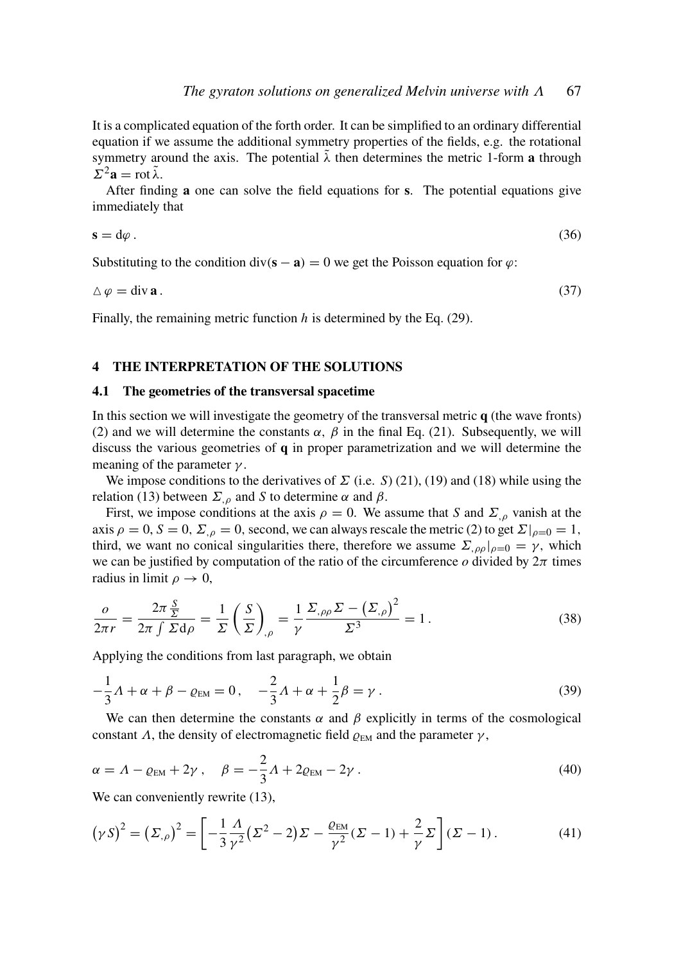It is a complicated equation of the forth order. It can be simplified to an ordinary differential equation if we assume the additional symmetry properties of the fields, e.g. the rotational symmetry around the axis. The potential  $\tilde{\lambda}$  then determines the metric 1-form a through  $\Sigma^2$ **a** = rot  $\tilde{\lambda}$ .

After finding a one can solve the field equations for s. The potential equations give immediately that

$$
s = d\varphi \,.
$$

Substituting to the condition div( $\mathbf{s} - \mathbf{a}$ ) = 0 we get the Poisson equation for  $\varphi$ :

$$
\Delta \varphi = \text{div } \mathbf{a} \,. \tag{37}
$$

Finally, the remaining metric function *h* is determined by the Eq. (29).

#### 4 THE INTERPRETATION OF THE SOLUTIONS

#### 4.1 The geometries of the transversal spacetime

In this section we will investigate the geometry of the transversal metric  $q$  (the wave fronts) (2) and we will determine the constants  $\alpha$ ,  $\beta$  in the final Eq. (21). Subsequently, we will discuss the various geometries of  $q$  in proper parametrization and we will determine the meaning of the parameter  $\gamma$ .

We impose conditions to the derivatives of  $\Sigma$  (i.e. *S*) (21), (19) and (18) while using the relation (13) between  $\Sigma_{\rho}$  and *S* to determine  $\alpha$  and  $\beta$ .

First, we impose conditions at the axis  $\rho = 0$ . We assume that *S* and  $\Sigma_{,\rho}$  vanish at the axis  $\rho = 0$ ,  $S = 0$ ,  $\Sigma_{\rho} = 0$ , second, we can always rescale the metric (2) to get  $\Sigma|_{\rho=0} = 1$ , third, we want no conical singularities there, therefore we assume  $\Sigma_{,\rho\rho}|_{\rho=0} = \gamma$ , which we can be justified by computation of the ratio of the circumference  $o$  divided by  $2\pi$  times radius in limit  $\rho \rightarrow 0$ ,

$$
\frac{o}{2\pi r} = \frac{2\pi \frac{S}{\Sigma}}{2\pi \int \Sigma d\rho} = \frac{1}{\Sigma} \left(\frac{S}{\Sigma}\right)_{,\rho} = \frac{1}{\gamma} \frac{\Sigma_{,\rho\rho} \Sigma - \left(\Sigma_{,\rho}\right)^2}{\Sigma^3} = 1. \tag{38}
$$

Applying the conditions from last paragraph, we obtain

$$
-\frac{1}{3}A + \alpha + \beta - \varrho_{EM} = 0, \quad -\frac{2}{3}A + \alpha + \frac{1}{2}\beta = \gamma.
$$
 (39)

We can then determine the constants  $\alpha$  and  $\beta$  explicitly in terms of the cosmological constant  $\Lambda$ , the density of electromagnetic field  $\varrho_{EM}$  and the parameter  $\gamma$ ,

$$
\alpha = \Lambda - \varrho_{EM} + 2\gamma \,, \quad \beta = -\frac{2}{3}\Lambda + 2\varrho_{EM} - 2\gamma \,.
$$
\n
$$
(40)
$$

We can conveniently rewrite  $(13)$ ,

$$
\left(\gamma S\right)^2 = \left(\Sigma_{,\rho}\right)^2 = \left[-\frac{1}{3}\frac{\Lambda}{\gamma^2}\left(\Sigma^2 - 2\right)\Sigma - \frac{\varrho_{EM}}{\gamma^2}\left(\Sigma - 1\right) + \frac{2}{\gamma}\Sigma\right]\left(\Sigma - 1\right). \tag{41}
$$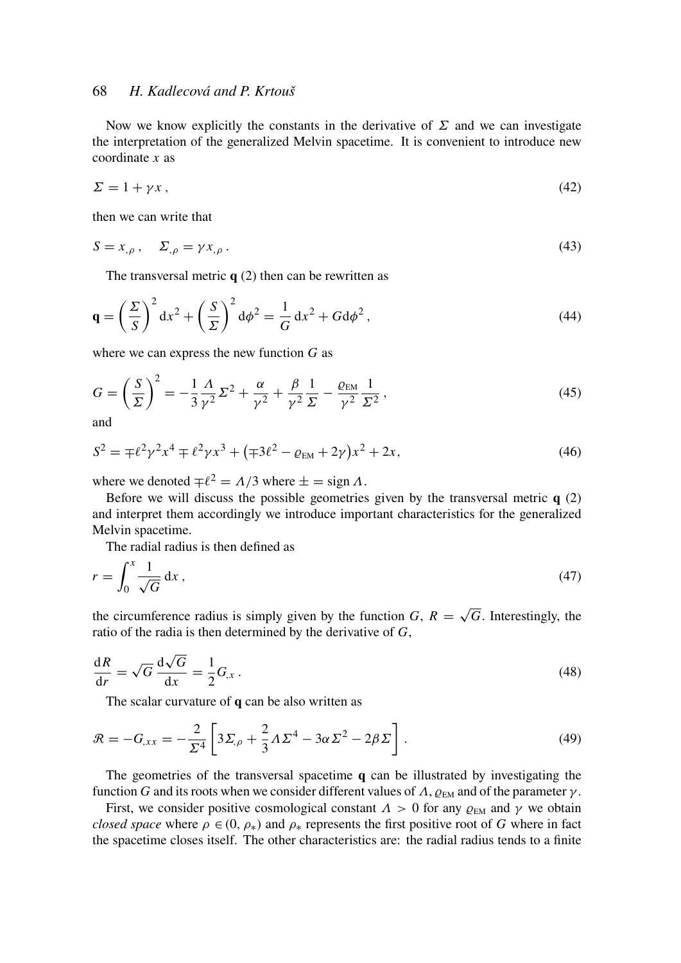Now we know explicitly the constants in the derivative of  $\Sigma$  and we can investigate the interpretation of the generalized Melvin spacetime. It is convenient to introduce new coordinate *x* as

$$
\Sigma = 1 + \gamma x \,,\tag{42}
$$

then we can write that

$$
S = x_{,\rho} \,, \quad \Sigma_{,\rho} = \gamma x_{,\rho} \,. \tag{43}
$$

The transversal metric  $q(2)$  then can be rewritten as

$$
\mathbf{q} = \left(\frac{\Sigma}{S}\right)^2 dx^2 + \left(\frac{S}{\Sigma}\right)^2 d\phi^2 = \frac{1}{G} dx^2 + G d\phi^2,
$$
\n(44)

where we can express the new function *G* as

$$
G = \left(\frac{S}{\Sigma}\right)^2 = -\frac{1}{3}\frac{\Lambda}{\gamma^2}\Sigma^2 + \frac{\alpha}{\gamma^2} + \frac{\beta}{\gamma^2}\frac{1}{\Sigma} - \frac{\varrho_{\text{EM}}}{\gamma^2}\frac{1}{\Sigma^2},\tag{45}
$$

and

$$
S^{2} = \mp \ell^{2} \gamma^{2} x^{4} \mp \ell^{2} \gamma x^{3} + (\mp 3\ell^{2} - \varrho_{EM} + 2\gamma) x^{2} + 2x, \tag{46}
$$

where we denoted  $\mp \ell^2 = \Lambda/3$  where  $\pm =$  sign  $\Lambda$ .

Before we will discuss the possible geometries given by the transversal metric  $q(2)$ and interpret them accordingly we introduce important characteristics for the generalized Melvin spacetime.

The radial radius is then defined as

$$
r = \int_0^x \frac{1}{\sqrt{G}} dx,
$$
\n(47)

the circumference radius is simply given by the function  $G, R =$ *G*. Interestingly, the ratio of the radia is then determined by the derivative of *G*,

$$
\frac{dR}{dr} = \sqrt{G} \frac{d\sqrt{G}}{dx} = \frac{1}{2} G_{,x} \,. \tag{48}
$$

The scalar curvature of **q** can be also written as

$$
\mathcal{R} = -G_{,xx} = -\frac{2}{\Sigma^4} \left[ 3\Sigma_{,\rho} + \frac{2}{3}\Lambda\Sigma^4 - 3\alpha\Sigma^2 - 2\beta\Sigma \right]. \tag{49}
$$

The geometries of the transversal spacetime  $q$  can be illustrated by investigating the function *G* and its roots when we consider different values of  $\Lambda$ ,  $\rho_{EM}$  and of the parameter  $\gamma$ .

First, we consider positive cosmological constant  $\Lambda > 0$  for any  $\varrho_{EM}$  and  $\gamma$  we obtain *closed space* where  $\rho \in (0, \rho_*)$  and  $\rho_*$  represents the first positive root of *G* where in fact the spacetime closes itself. The other characteristics are: the radial radius tends to a finite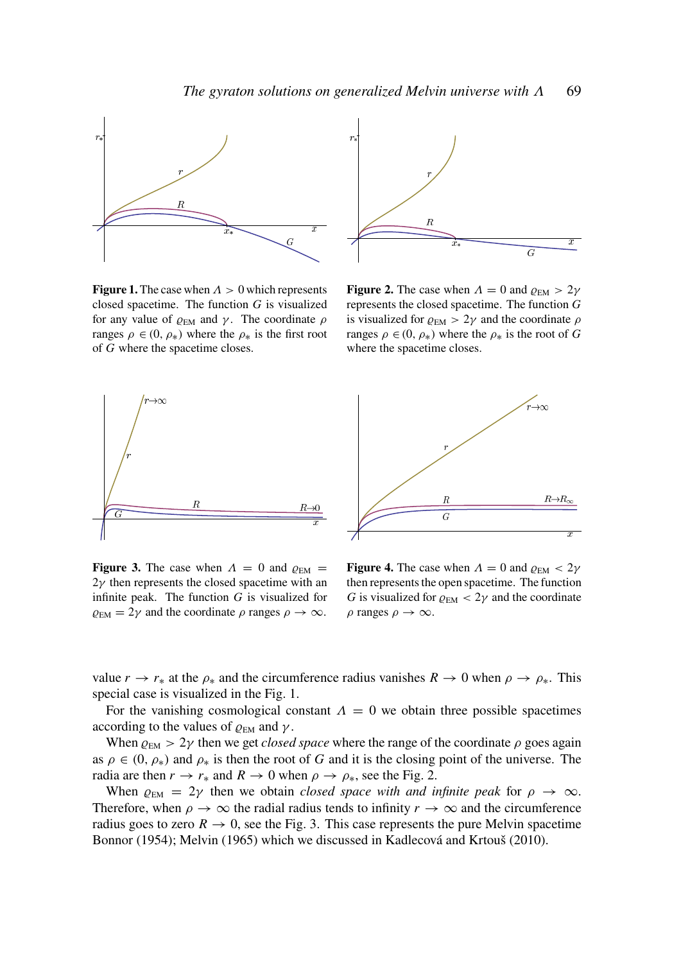

**Figure 1.** The case when  $\Lambda > 0$  which represents closed spacetime. The function *G* is visualized for any value of  $\varrho_{EM}$  and  $\gamma$ . The coordinate  $\rho$ ranges  $\rho \in (0, \rho_*)$  where the  $\rho_*$  is the first root of *G* where the spacetime closes.



**Figure 2.** The case when  $\Lambda = 0$  and  $\rho_{EM} > 2\gamma$ represents the closed spacetime. The function *G* is visualized for  $\varrho_{EM} > 2\gamma$  and the coordinate  $\rho$ ranges  $\rho \in (0, \rho_*)$  where the  $\rho_*$  is the root of G where the spacetime closes.





**Figure 3.** The case when  $\Lambda = 0$  and  $\rho_{EM} =$  $2\gamma$  then represents the closed spacetime with an infinite peak. The function *G* is visualized for  $\rho_{EM} = 2\gamma$  and the coordinate  $\rho$  ranges  $\rho \to \infty$ .

**Figure 4.** The case when  $\Lambda = 0$  and  $\rho_{EM} < 2\gamma$ then represents the open spacetime. The function *G* is visualized for  $\varrho_{EM}$  < 2 $\gamma$  and the coordinate  $\rho$  ranges  $\rho \to \infty$ .

value  $r \to r_*$  at the  $\rho_*$  and the circumference radius vanishes  $R \to 0$  when  $\rho \to \rho_*$ . This special case is visualized in the Fig. 1.

For the vanishing cosmological constant  $\Lambda = 0$  we obtain three possible spacetimes according to the values of  $\rho_{EM}$  and  $\gamma$ .

When  $\varrho_{EM} > 2\gamma$  then we get *closed space* where the range of the coordinate  $\rho$  goes again as  $\rho \in (0, \rho_*)$  and  $\rho_*$  is then the root of *G* and it is the closing point of the universe. The radia are then  $r \to r_*$  and  $R \to 0$  when  $\rho \to \rho_*$ , see the Fig. 2.

When  $\varrho_{EM} = 2\gamma$  then we obtain *closed space with and infinite peak* for  $\rho \to \infty$ . Therefore, when  $\rho \to \infty$  the radial radius tends to infinity  $r \to \infty$  and the circumference radius goes to zero  $R \to 0$ , see the Fig. 3. This case represents the pure Melvin spacetime Bonnor (1954); Melvin (1965) which we discussed in Kadlecová and Krtouš (2010).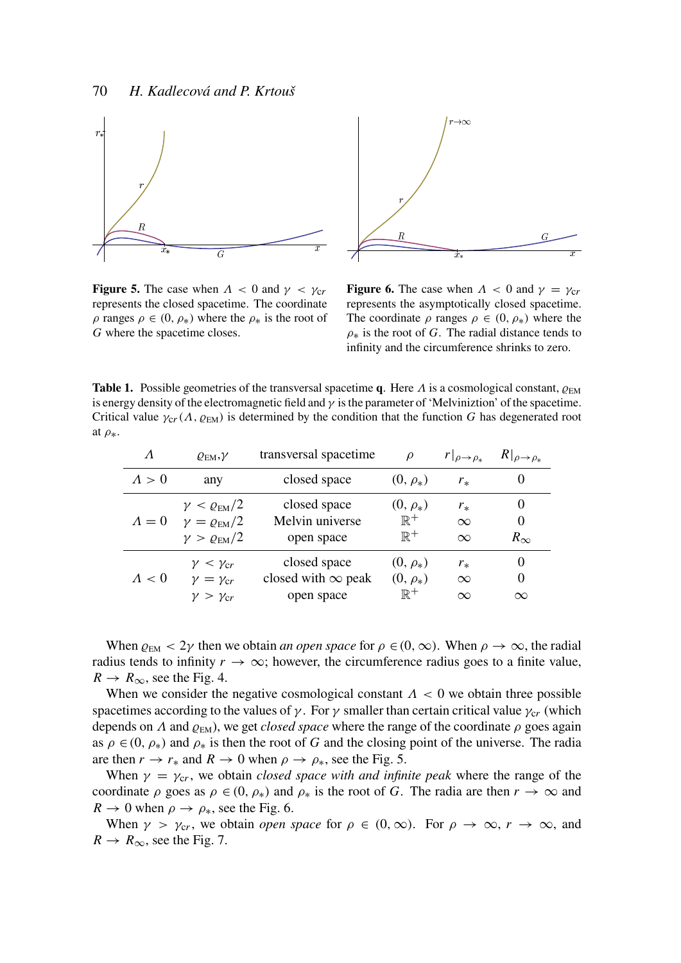



**Figure 5.** The case when  $\Lambda < 0$  and  $\gamma < \gamma_{cr}$ represents the closed spacetime. The coordinate  $\rho$  ranges  $\rho \in (0, \rho_*)$  where the  $\rho_*$  is the root of *G* where the spacetime closes.

**Figure 6.** The case when  $\Lambda < 0$  and  $\gamma = \gamma_{cr}$ represents the asymptotically closed spacetime. The coordinate  $\rho$  ranges  $\rho \in (0, \rho_*)$  where the  $\rho_*$  is the root of *G*. The radial distance tends to infinity and the circumference shrinks to zero.

**Table 1.** Possible geometries of the transversal spacetime q. Here  $\Lambda$  is a cosmological constant,  $\rho_{FM}$ is energy density of the electromagnetic field and  $\gamma$  is the parameter of 'Melviniztion' of the spacetime. Critical value  $\gamma_{cr}(\Lambda, \rho_{EM})$  is determined by the condition that the function *G* has degenerated root at  $\rho_*$ .

| $\Lambda$     | $\varrho_{\text{EM}}, \gamma$ | transversal spacetime     | $\varrho$      | $r _{\rho \to \rho_*}$ | $R _{\rho \rightarrow \rho _*}$ |
|---------------|-------------------------------|---------------------------|----------------|------------------------|---------------------------------|
| $\Lambda > 0$ | any                           | closed space              | $(0, \rho_*)$  | $r_{*}$                | $\theta$                        |
| $\Lambda=0$   | $\gamma < \varrho_{\rm EM}/2$ | closed space              | $(0, \rho_*)$  | $r_{*}$                | $\theta$                        |
|               | $\gamma = \varrho_{\rm EM}/2$ | Melvin universe           | $\mathbb{R}^+$ | $\infty$               | 0                               |
|               | $\gamma > \varrho_{\rm EM}/2$ | open space                | $\mathbb{R}^+$ | $\infty$               | $R_{\infty}$                    |
| $\Lambda < 0$ | $\gamma < \gamma_{cr}$        | closed space              | $(0, \rho_*)$  | $r_{*}$                | $\theta$                        |
|               | $\gamma = \gamma_{cr}$        | closed with $\infty$ peak | $(0, \rho_*)$  | $\infty$               | 0                               |
|               | $\gamma > \gamma_{cr}$        | open space                | $\mathbb{R}^+$ | $\infty$               | $\infty$                        |

When  $\varrho_{EM} < 2\gamma$  then we obtain *an open space* for  $\rho \in (0, \infty)$ . When  $\rho \to \infty$ , the radial radius tends to infinity  $r \to \infty$ ; however, the circumference radius goes to a finite value,  $R \rightarrow R_{\infty}$ , see the Fig. 4.

When we consider the negative cosmological constant  $\Lambda < 0$  we obtain three possible spacetimes according to the values of  $\gamma$ . For  $\gamma$  smaller than certain critical value  $\gamma_{cr}$  (which depends on  $\Lambda$  and  $\varrho_{EM}$ ), we get *closed space* where the range of the coordinate  $\rho$  goes again as  $\rho \in (0, \rho_*)$  and  $\rho_*$  is then the root of *G* and the closing point of the universe. The radia are then  $r \to r_*$  and  $R \to 0$  when  $\rho \to \rho_*$ , see the Fig. 5.

When  $\gamma = \gamma_{cr}$ , we obtain *closed space with and infinite peak* where the range of the coordinate  $\rho$  goes as  $\rho \in (0, \rho_*)$  and  $\rho_*$  is the root of *G*. The radia are then  $r \to \infty$  and  $R \to 0$  when  $\rho \to \rho_*$ , see the Fig. 6.

When  $\gamma > \gamma_{cr}$ , we obtain *open space* for  $\rho \in (0, \infty)$ . For  $\rho \to \infty$ ,  $r \to \infty$ , and  $R \rightarrow R_{\infty}$ , see the Fig. 7.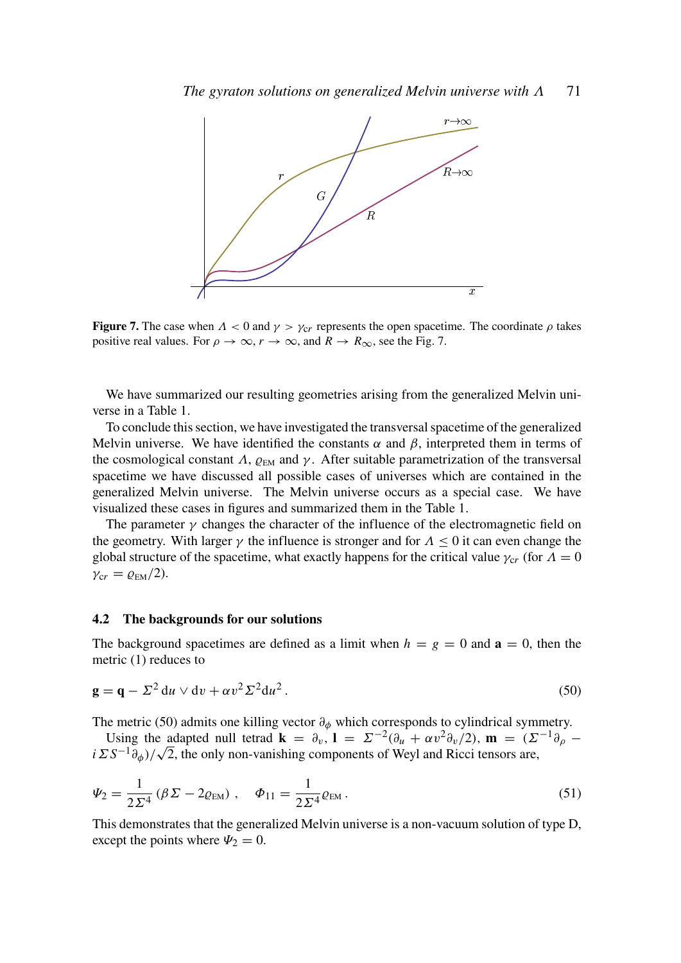

**Figure 7.** The case when  $\Lambda < 0$  and  $\gamma > \gamma_{cr}$  represents the open spacetime. The coordinate  $\rho$  takes positive real values. For  $\rho \to \infty$ ,  $r \to \infty$ , and  $R \to R_{\infty}$ , see the Fig. 7.

We have summarized our resulting geometries arising from the generalized Melvin universe in a Table 1.

To conclude this section, we have investigated the transversal spacetime of the generalized Melvin universe. We have identified the constants  $\alpha$  and  $\beta$ , interpreted them in terms of the cosmological constant  $\Lambda$ ,  $\varrho_{EM}$  and  $\gamma$ . After suitable parametrization of the transversal spacetime we have discussed all possible cases of universes which are contained in the generalized Melvin universe. The Melvin universe occurs as a special case. We have visualized these cases in figures and summarized them in the Table 1.

The parameter  $\gamma$  changes the character of the influence of the electromagnetic field on the geometry. With larger  $\gamma$  the influence is stronger and for  $\Lambda \leq 0$  it can even change the global structure of the spacetime, what exactly happens for the critical value  $\gamma_{cr}$  (for  $\Lambda = 0$ )  $\gamma_{cr} = \varrho_{EM}/2$ ).

#### 4.2 The backgrounds for our solutions

The background spacetimes are defined as a limit when  $h = g = 0$  and  $\mathbf{a} = 0$ , then the metric (1) reduces to

$$
\mathbf{g} = \mathbf{q} - \Sigma^2 \, \mathrm{d}u \vee \mathrm{d}v + \alpha v^2 \Sigma^2 \, \mathrm{d}u^2 \,. \tag{50}
$$

The metric (50) admits one killing vector  $\partial_{\phi}$  which corresponds to cylindrical symmetry.

Using the adapted null tetrad **k** =  $\partial_v$ , **l** =  $\Sigma^{-2}(\partial_u + \alpha v^2 \partial_v / 2)$ , **m** =  $(\Sigma^{-1} \partial_\rho -$ Using the adapted null tetrad  $\mathbf{k} = \partial_v$ ,  $\mathbf{l} = \sum^{\infty} (\partial_u + \alpha v^2 \partial_v / 2)$ ,  $\mathbf{m} = (\sum_i \alpha_i \Sigma S^{-1} \partial_{\phi}) / \sqrt{2}$ , the only non-vanishing components of Weyl and Ricci tensors are,

$$
\Psi_2 = \frac{1}{2\Sigma^4} (\beta \Sigma - 2\varrho_{EM}), \quad \Phi_{11} = \frac{1}{2\Sigma^4} \varrho_{EM}.
$$
\n(51)

This demonstrates that the generalized Melvin universe is a non-vacuum solution of type D, except the points where  $\Psi_2 = 0$ .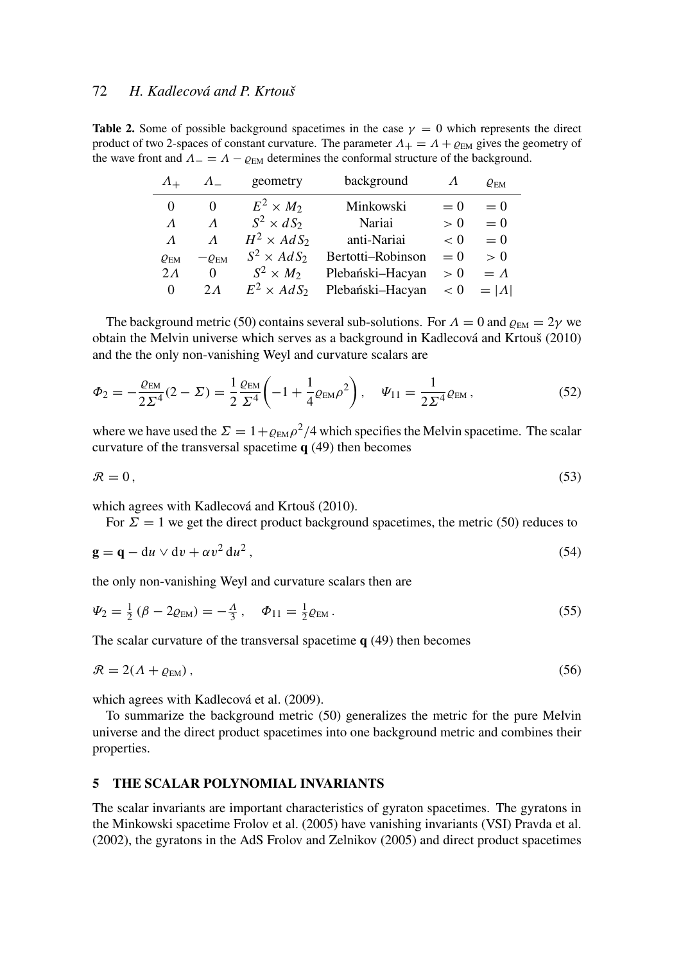**Table 2.** Some of possible background spacetimes in the case  $\gamma = 0$  which represents the direct product of two 2-spaces of constant curvature. The parameter  $\Lambda_{+} = \Lambda + \rho_{\text{EM}}$  gives the geometry of the wave front and  $\Lambda = \Lambda - \varrho_{EM}$  determines the conformal structure of the background.

| $\Lambda_{+}$   | $\Lambda$                     | geometry           | background        |         | $\varrho_{\rm EM}$ |
|-----------------|-------------------------------|--------------------|-------------------|---------|--------------------|
| 0               | $\Omega$                      | $E^2 \times M_2$   | Minkowski         | $= 0$   | $= 0$              |
| $\Lambda$       | $\Lambda$                     | $S^2 \times dS_2$  | Nariai            | > 0     | $= 0$              |
| $\Lambda$       | $\Lambda$                     | $H^2 \times AdS_2$ | anti-Nariai       | $\lt 0$ | $= 0$              |
| $Q_{\text{EM}}$ | $-\varrho_{\text{\tiny{EM}}}$ | $S^2 \times AdS_2$ | Bertotti-Robinson | $= 0$   | > 0                |
| $2\Lambda$      | 0                             | $S^2 \times M_2$   | Plebański-Hacyan  | > 0     | $=$ $\Lambda$      |
| $\theta$        | $2\Lambda$                    | $E^2 \times AdS_2$ | Plebański-Hacyan  | < 0     | $= \Lambda $       |

The background metric (50) contains several sub-solutions. For  $\Lambda = 0$  and  $\varrho_{EM} = 2\gamma$  we obtain the Melvin universe which serves as a background in Kadlecová and Krtouš (2010) and the the only non-vanishing Weyl and curvature scalars are

$$
\Phi_2 = -\frac{\varrho_{EM}}{2\Sigma^4}(2-\Sigma) = \frac{1}{2}\frac{\varrho_{EM}}{\Sigma^4}\left(-1+\frac{1}{4}\varrho_{EM}\rho^2\right), \quad \Psi_{11} = \frac{1}{2\Sigma^4}\varrho_{EM},\tag{52}
$$

where we have used the  $\Sigma = 1 + \rho_{EM} \rho^2 / 4$  which specifies the Melvin spacetime. The scalar curvature of the transversal spacetime q (49) then becomes

$$
\mathcal{R} = 0,\tag{53}
$$

which agrees with Kadlecová and Krtouš (2010).

For  $\Sigma = 1$  we get the direct product background spacetimes, the metric (50) reduces to

$$
\mathbf{g} = \mathbf{q} - \mathrm{d}u \vee \mathrm{d}v + \alpha v^2 \, \mathrm{d}u^2 \,,\tag{54}
$$

the only non-vanishing Weyl and curvature scalars then are

$$
\Psi_2 = \frac{1}{2} \left( \beta - 2 \varrho_{EM} \right) = -\frac{A}{3}, \quad \Phi_{11} = \frac{1}{2} \varrho_{EM} \,. \tag{55}
$$

The scalar curvature of the transversal spacetime  $q(49)$  then becomes

$$
\mathcal{R} = 2(\Lambda + \varrho_{EM}),\tag{56}
$$

which agrees with Kadlecová et al. (2009).

To summarize the background metric (50) generalizes the metric for the pure Melvin universe and the direct product spacetimes into one background metric and combines their properties.

#### 5 THE SCALAR POLYNOMIAL INVARIANTS

The scalar invariants are important characteristics of gyraton spacetimes. The gyratons in the Minkowski spacetime Frolov et al. (2005) have vanishing invariants (VSI) Pravda et al. (2002), the gyratons in the AdS Frolov and Zelnikov (2005) and direct product spacetimes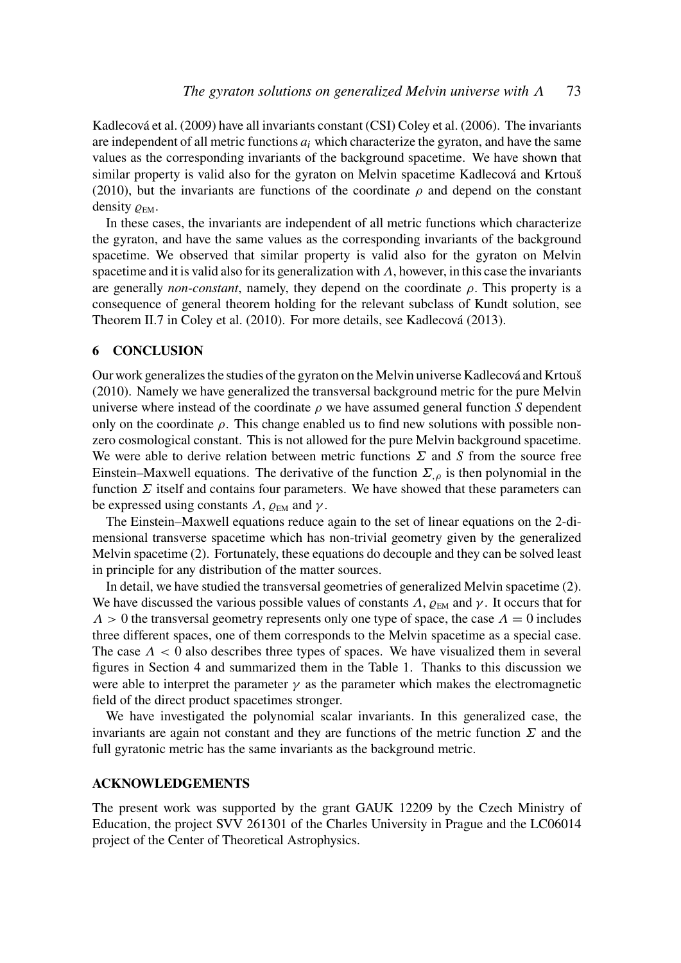Kadlecová et al. (2009) have all invariants constant (CSI) Coley et al. (2006). The invariants are independent of all metric functions  $a_i$  which characterize the gyraton, and have the same values as the corresponding invariants of the background spacetime. We have shown that similar property is valid also for the gyraton on Melvin spacetime Kadlecová and Krtouš (2010), but the invariants are functions of the coordinate  $\rho$  and depend on the constant density  $\varrho_{\text{EM}}$ .

In these cases, the invariants are independent of all metric functions which characterize the gyraton, and have the same values as the corresponding invariants of the background spacetime. We observed that similar property is valid also for the gyraton on Melvin spacetime and it is valid also for its generalization with  $\Lambda$ , however, in this case the invariants are generally *non-constant*, namely, they depend on the coordinate  $\rho$ . This property is a consequence of general theorem holding for the relevant subclass of Kundt solution, see Theorem II.7 in Coley et al. (2010). For more details, see Kadlecová (2013).

# 6 CONCLUSION

Our work generalizes the studies of the gyraton on the Melvin universe Kadlecová and Krtouš (2010). Namely we have generalized the transversal background metric for the pure Melvin universe where instead of the coordinate  $\rho$  we have assumed general function *S* dependent only on the coordinate  $\rho$ . This change enabled us to find new solutions with possible nonzero cosmological constant. This is not allowed for the pure Melvin background spacetime. We were able to derive relation between metric functions Σ and *S* from the source free Einstein–Maxwell equations. The derivative of the function  $\Sigma_{\rho}$  is then polynomial in the function  $\Sigma$  itself and contains four parameters. We have showed that these parameters can be expressed using constants  $\Lambda$ ,  $\varrho_{EM}$  and  $\gamma$ .

The Einstein–Maxwell equations reduce again to the set of linear equations on the 2-dimensional transverse spacetime which has non-trivial geometry given by the generalized Melvin spacetime (2). Fortunately, these equations do decouple and they can be solved least in principle for any distribution of the matter sources.

In detail, we have studied the transversal geometries of generalized Melvin spacetime (2). We have discussed the various possible values of constants  $\Lambda$ ,  $\rho_{EM}$  and  $\gamma$ . It occurs that for  $\Lambda > 0$  the transversal geometry represents only one type of space, the case  $\Lambda = 0$  includes three different spaces, one of them corresponds to the Melvin spacetime as a special case. The case  $\Lambda$  < 0 also describes three types of spaces. We have visualized them in several figures in Section 4 and summarized them in the Table 1. Thanks to this discussion we were able to interpret the parameter  $\gamma$  as the parameter which makes the electromagnetic field of the direct product spacetimes stronger.

We have investigated the polynomial scalar invariants. In this generalized case, the invariants are again not constant and they are functions of the metric function  $\Sigma$  and the full gyratonic metric has the same invariants as the background metric.

#### ACKNOWLEDGEMENTS

The present work was supported by the grant GAUK 12209 by the Czech Ministry of Education, the project SVV 261301 of the Charles University in Prague and the LC06014 project of the Center of Theoretical Astrophysics.